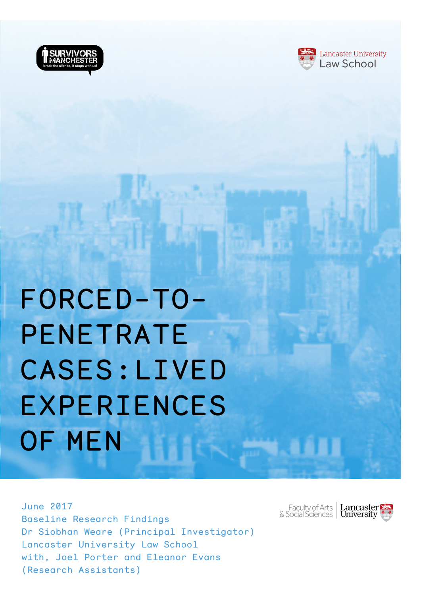



# FORCED-TO-PENETRATE CASES:LIVED EXPERIENCES OF MEN

June 2017 Baseline Research Findings Dr Siobhan Weare (Principal Investigator) Lancaster University Law School with, Joel Porter and Eleanor Evans (Research Assistants)

Faculty of Arts | **Lancaster** |<br>& Social Sciences | **University** 

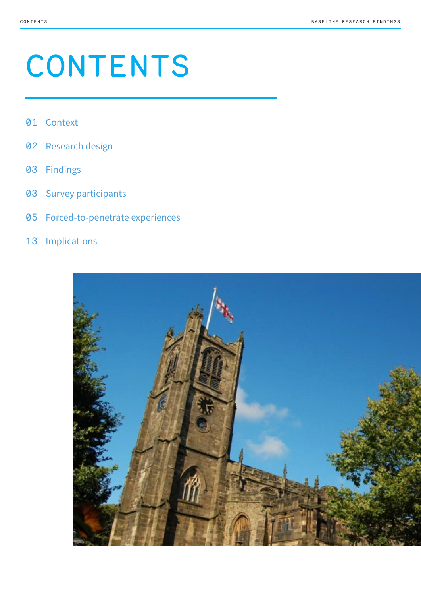# CONTENTS

- Context
- Research design
- Findings
- Survey participants
- Forced-to-penetrate experiences
- Implications

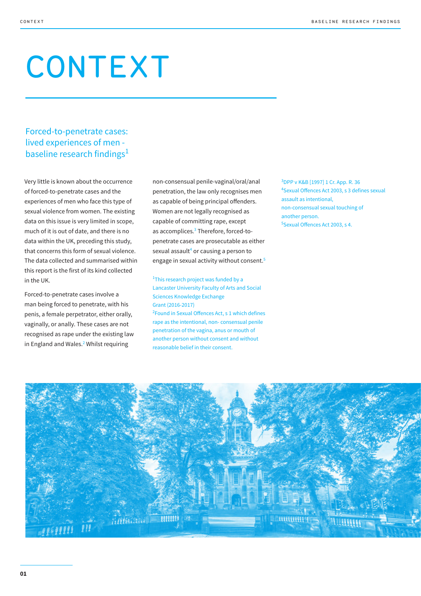# CONTEXT

## Forced-to-penetrate cases: lived experiences of men baseline research findings<sup>1</sup>

Very little is known about the occurrence of forced-to-penetrate cases and the experiences of men who face this type of sexual violence from women. The existing data on this issue is very limited in scope, much of it is out of date, and there is no data within the UK, preceding this study, that concerns this form of sexual violence. The data collected and summarised within this report is the first of its kind collected in the UK.

Forced-to-penetrate cases involve a man being forced to penetrate, with his penis, a female perpetrator, either orally, vaginally, or anally. These cases are not recognised as rape under the existing law in England and Wales.<sup>2</sup> Whilst requiring

non-consensual penile-vaginal/oral/anal penetration, the law only recognises men as capable of being principal offenders. Women are not legally recognised as capable of committing rape, except as accomplices.<sup>3</sup> Therefore, forced-topenetrate cases are prosecutable as either sexual assault<sup>4</sup> or causing a person to engage in sexual activity without consent.<sup>5</sup>

<sup>1</sup>This research project was funded by a Lancaster University Faculty of Arts and Social Sciences Knowledge Exchange Grant (2016-2017)

<sup>2</sup> Found in Sexual Offences Act, s 1 which defines rape as the intentional, non- consensual penile penetration of the vagina, anus or mouth of another person without consent and without reasonable belief in their consent.

3 DPP v K&B [1997] 1 Cr. App. R. 36 4 Sexual Offences Act 2003, s 3 defines sexual assault as intentional, non-consensual sexual touching of another person. 5 Sexual Offences Act 2003, s 4.

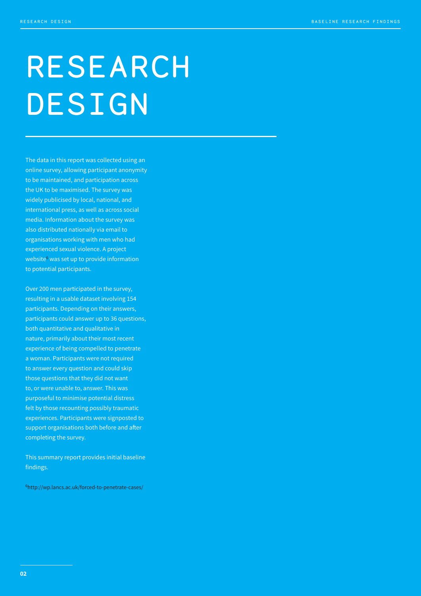# RESEARCH DESIGN

The data in this report was collected using an online survey, allowing participant anonymity to be maintained, and participation across the UK to be maximised. The survey was widely publicised by local, national, and international press, as well as across social media. Information about the survey was also distributed nationally via email to organisations working with men who had experienced sexual violence. A project website<sup>6</sup> was set up to provide information to potential participants.

Over 200 men participated in the survey, resulting in a usable dataset involving 154 participants. Depending on their answers, participants could answer up to 36 questions, both quantitative and qualitative in nature, primarily about their most recent experience of being compelled to penetrate a woman. Participants were not required to answer every question and could skip those questions that they did not want to, or were unable to, answer. This was purposeful to minimise potential distress felt by those recounting possibly traumatic experiences. Participants were signposted to support organisations both before and after completing the survey.

This summary report provides initial baseline findings.

6 http://wp.lancs.ac.uk/forced-to-penetrate-cases/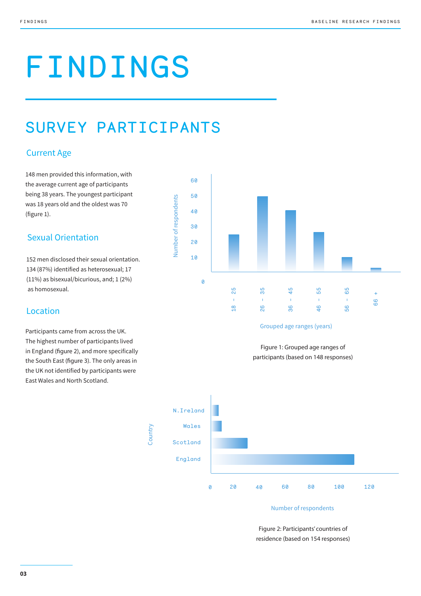# FINDINGS

# SURVEY PARTICIPANTS

### Current Age

148 men provided this information, with the average current age of participants being 38 years. The youngest participant was 18 years old and the oldest was 70 (figure 1).

### Sexual Orientation

152 men disclosed their sexual orientation. 134 (87%) identified as heterosexual; 17 (11%) as bisexual/bicurious, and; 1 (2%) as homosexual.

### Location

Participants came from across the UK. The highest number of participants lived in England (figure 2), and more specifically the South East (figure 3). The only areas in the UK not identified by participants were East Wales and North Scotland.



#### Grouped age ranges (years)

Figure 1: Grouped age ranges of participants (based on 148 responses)



#### Number of respondents

Figure 2: Participants' countries of residence (based on 154 responses)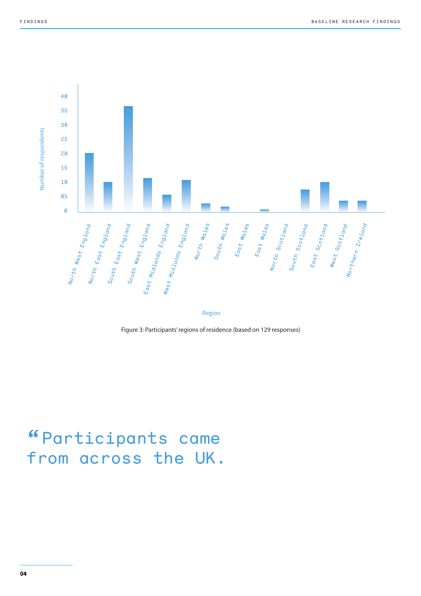

Region

Figure 3: Participants' regions of residence (based on 129 responses)

# "Participants came from across the UK.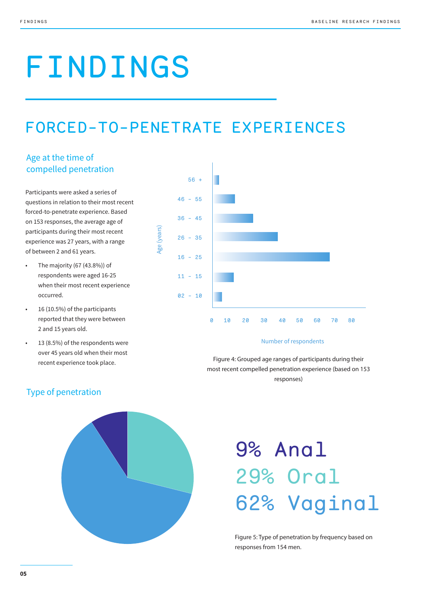# FINDINGS

# FORCED-TO-PENETRATE EXPERIENCES

## Age at the time of compelled penetration

Participants were asked a series of questions in relation to their most recent forced-to-penetrate experience. Based on 153 responses, the average age of participants during their most recent experience was 27 years, with a range of between 2 and 61 years.

- The majority (67 (43.8%)) of respondents were aged 16-25 when their most recent experience occurred.
- 16 (10.5%) of the participants reported that they were between 2 and 15 years old.
- 13 (8.5%) of the respondents were over 45 years old when their most recent experience took place.



#### Number of respondents

Figure 4: Grouped age ranges of participants during their most recent compelled penetration experience (based on 153 responses)



# Type of penetration

# 9% Anal 29% Oral 62% Vaginal

Figure 5: Type of penetration by frequency based on responses from 154 men.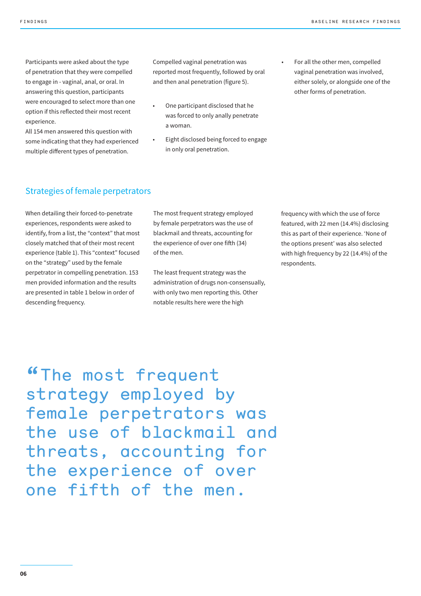Participants were asked about the type of penetration that they were compelled to engage in - vaginal, anal, or oral. In answering this question, participants were encouraged to select more than one option if this reflected their most recent experience.

All 154 men answered this question with some indicating that they had experienced multiple different types of penetration.

Compelled vaginal penetration was reported most frequently, followed by oral and then anal penetration (figure 5).

- One participant disclosed that he was forced to only anally penetrate a woman.
- Eight disclosed being forced to engage in only oral penetration.
- For all the other men, compelled vaginal penetration was involved, either solely, or alongside one of the other forms of penetration.

#### Strategies of female perpetrators

When detailing their forced-to-penetrate experiences, respondents were asked to identify, from a list, the "context" that most closely matched that of their most recent experience (table 1). This "context" focused on the "strategy" used by the female perpetrator in compelling penetration. 153 men provided information and the results are presented in table 1 below in order of descending frequency.

The most frequent strategy employed by female perpetrators was the use of blackmail and threats, accounting for the experience of over one fifth (34) of the men.

The least frequent strategy was the administration of drugs non-consensually, with only two men reporting this. Other notable results here were the high

frequency with which the use of force featured, with 22 men (14.4%) disclosing this as part of their experience. 'None of the options present' was also selected with high frequency by 22 (14.4%) of the respondents.

"The most frequent strategy employed by female perpetrators was the use of blackmail and threats, accounting for the experience of over one fifth of the men.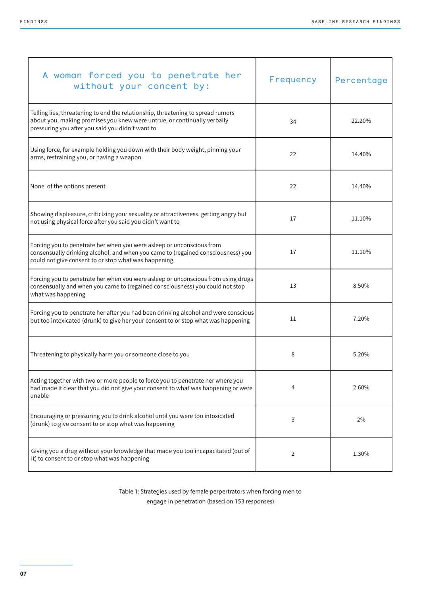| A woman forced you to penetrate her<br>without your concent by:                                                                                                                                                   | Frequency | Percentage |
|-------------------------------------------------------------------------------------------------------------------------------------------------------------------------------------------------------------------|-----------|------------|
| Telling lies, threatening to end the relationship, threatening to spread rumors<br>about you, making promises you knew were untrue, or continually verbally<br>pressuring you after you said you didn't want to   | 34        | 22.20%     |
| Using force, for example holding you down with their body weight, pinning your<br>arms, restraining you, or having a weapon                                                                                       | 22        | 14.40%     |
| None of the options present                                                                                                                                                                                       | 22        | 14.40%     |
| Showing displeasure, criticizing your sexuality or attractiveness. getting angry but<br>not using physical force after you said you didn't want to                                                                | 17        | 11.10%     |
| Forcing you to penetrate her when you were asleep or unconscious from<br>consensually drinking alcohol, and when you came to (regained consciousness) you<br>could not give consent to or stop what was happening | 17        | 11.10%     |
| Forcing you to penetrate her when you were asleep or unconscious from using drugs<br>consensually and when you came to (regained consciousness) you could not stop<br>what was happening                          | 13        | 8.50%      |
| Forcing you to penetrate her after you had been drinking alcohol and were conscious<br>but too intoxicated (drunk) to give her your consent to or stop what was happening                                         | 11        | 7.20%      |
| Threatening to physically harm you or someone close to you                                                                                                                                                        | 8         | 5.20%      |
| Acting together with two or more people to force you to penetrate her where you<br>had made it clear that you did not give your consent to what was happening or were<br>unable                                   | 4         | 2.60%      |
| Encouraging or pressuring you to drink alcohol until you were too intoxicated<br>(drunk) to give consent to or stop what was happening                                                                            | 3         | 2%         |
| Giving you a drug without your knowledge that made you too incapacitated (out of<br>it) to consent to or stop what was happening                                                                                  | 2         | 1.30%      |

Table 1: Strategies used by female perpertrators when forcing men to engage in penetration (based on 153 responses)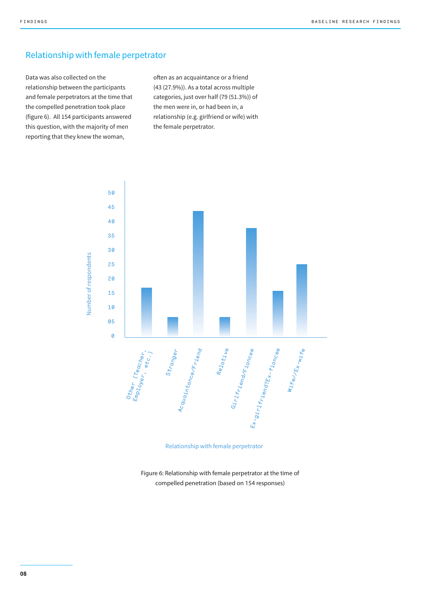#### Relationship with female perpetrator

Data was also collected on the relationship between the participants and female perpetrators at the time that the compelled penetration took place (figure 6). All 154 participants answered this question, with the majority of men reporting that they knew the woman,

often as an acquaintance or a friend (43 (27.9%)). As a total across multiple categories, just over half (79 (51.3%)) of the men were in, or had been in, a relationship (e.g. girlfriend or wife) with the female perpetrator.



#### Relationship with female perpetrator

Figure 6: Relationship with female perpetrator at the time of compelled penetration (based on 154 responses)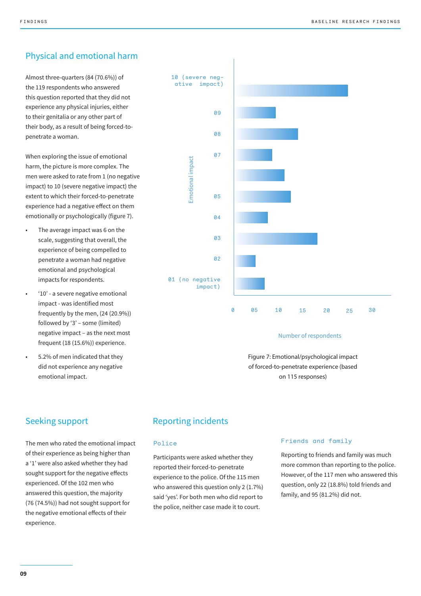## Physical and emotional harm

Almost three-quarters (84 (70.6%)) of the 119 respondents who answered this question reported that they did not experience any physical injuries, either to their genitalia or any other part of their body, as a result of being forced-topenetrate a woman.

When exploring the issue of emotional harm, the picture is more complex. The men were asked to rate from 1 (no negative impact) to 10 (severe negative impact) the extent to which their forced-to-penetrate experience had a negative effect on them emotionally or psychologically (figure 7).

- The average impact was 6 on the scale, suggesting that overall, the experience of being compelled to penetrate a woman had negative emotional and psychological impacts for respondents.
- '10' a severe negative emotional impact - was identified most frequently by the men, (24 (20.9%)) followed by '3' – some (limited) negative impact – as the next most frequent (18 (15.6%)) experience.
- 5.2% of men indicated that they did not experience any negative emotional impact.



#### Number of respondents

Figure 7: Emotional/psychological impact of forced-to-penetrate experience (based on 115 responses)

#### Seeking support

The men who rated the emotional impact of their experience as being higher than a '1' were also asked whether they had sought support for the negative effects experienced. Of the 102 men who answered this question, the majority (76 (74.5%)) had not sought support for the negative emotional effects of their experience.

### Reporting incidents

#### Police

Participants were asked whether they reported their forced-to-penetrate experience to the police. Of the 115 men who answered this question only 2 (1.7%) said 'yes'. For both men who did report to the police, neither case made it to court.

#### Friends and family

Reporting to friends and family was much more common than reporting to the police. However, of the 117 men who answered this question, only 22 (18.8%) told friends and family, and 95 (81.2%) did not.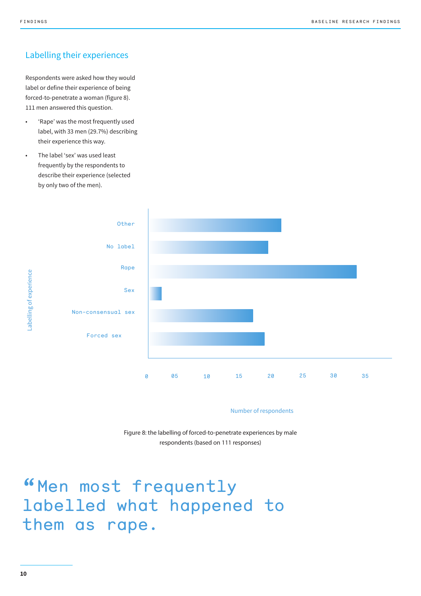### Labelling their experiences

Respondents were asked how they would label or define their experience of being forced-to-penetrate a woman (figure 8). 111 men answered this question.

- 'Rape' was the most frequently used label, with 33 men (29.7%) describing their experience this way.
- The label 'sex' was used least frequently by the respondents to describe their experience (selected by only two of the men).



Number of respondents

Figure 8: the labelling of forced-to-penetrate experiences by male respondents (based on 111 responses)

# "Men most frequently labelled what happened to them as rape.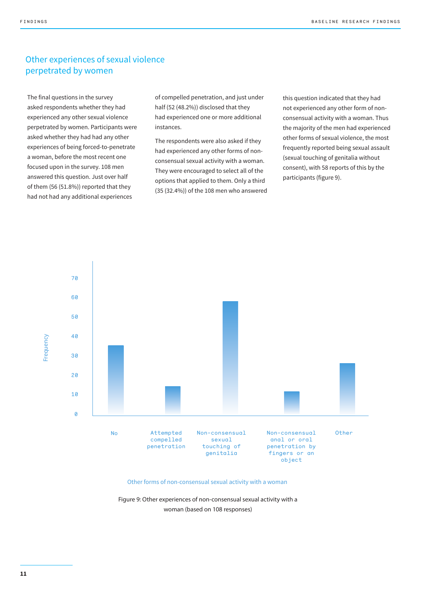### Other experiences of sexual violence perpetrated by women

The final questions in the survey asked respondents whether they had experienced any other sexual violence perpetrated by women. Participants were asked whether they had had any other experiences of being forced-to-penetrate a woman, before the most recent one focused upon in the survey. 108 men answered this question. Just over half of them (56 (51.8%)) reported that they had not had any additional experiences

of compelled penetration, and just under half (52 (48.2%)) disclosed that they had experienced one or more additional instances.

The respondents were also asked if they had experienced any other forms of nonconsensual sexual activity with a woman. They were encouraged to select all of the options that applied to them. Only a third (35 (32.4%)) of the 108 men who answered

this question indicated that they had not experienced any other form of nonconsensual activity with a woman. Thus the majority of the men had experienced other forms of sexual violence, the most frequently reported being sexual assault (sexual touching of genitalia without consent), with 58 reports of this by the participants (figure 9).



#### Other forms of non-consensual sexual activity with a woman

Figure 9: Other experiences of non-consensual sexual activity with a woman (based on 108 responses)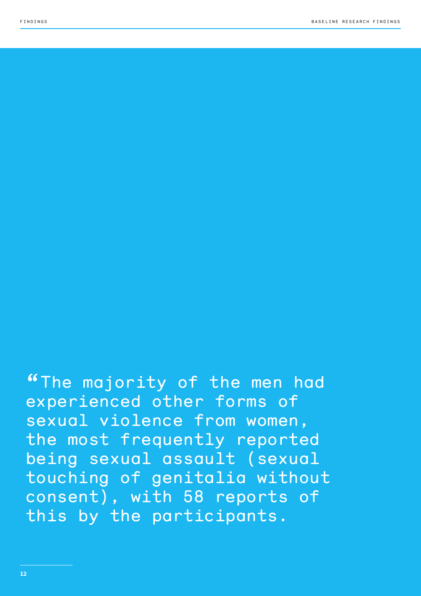"The majority of the men had experienced other forms of sexual violence from women, the most frequently reported being sexual assault (sexual touching of genitalia without consent), with 58 reports of this by the participants.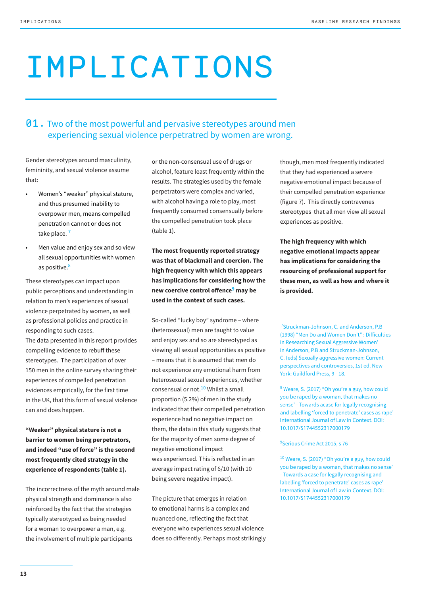# IMPLICATIONS

## **01.** Two of the most powerful and pervasive stereotypes around men experiencing sexual violence perpetratred by women are wrong.

Gender stereotypes around masculinity, femininity, and sexual violence assume that:

- Women's "weaker" physical stature, and thus presumed inability to overpower men, means compelled penetration cannot or does not take place.<sup>7</sup>
- Men value and enjoy sex and so view all sexual opportunities with women as positive.<sup>8</sup>

These stereotypes can impact upon public perceptions and understanding in relation to men's experiences of sexual violence perpetrated by women, as well as professional policies and practice in responding to such cases. The data presented in this report provides compelling evidence to rebuff these stereotypes. The participation of over 150 men in the online survey sharing their experiences of compelled penetration

evidences empirically, for the first time in the UK, that this form of sexual violence can and does happen.

**"Weaker" physical stature is not a barrier to women being perpetrators, and indeed "use of force" is the second most frequently cited strategy in the experience of respondents (table 1).**

The incorrectness of the myth around male physical strength and dominance is also reinforced by the fact that the strategies typically stereotyped as being needed for a woman to overpower a man, e.g. the involvement of multiple participants

or the non-consensual use of drugs or alcohol, feature least frequently within the results. The strategies used by the female perpetrators were complex and varied, with alcohol having a role to play, most frequently consumed consensually before the compelled penetration took place (table 1).

**The most frequently reported strategy was that of blackmail and coercion. The high frequency with which this appears has implications for considering how the new coercive control offence9 may be used in the context of such cases.**

So-called "lucky boy" syndrome – where (heterosexual) men are taught to value and enjoy sex and so are stereotyped as viewing all sexual opportunities as positive – means that it is assumed that men do not experience any emotional harm from heterosexual sexual experiences, whether consensual or not.<sup>10</sup> Whilst a small proportion (5.2%) of men in the study indicated that their compelled penetration experience had no negative impact on them, the data in this study suggests that for the majority of men some degree of negative emotional impact was experienced. This is reflected in an average impact rating of 6/10 (with 10 being severe negative impact).

The picture that emerges in relation to emotional harms is a complex and nuanced one, reflecting the fact that everyone who experiences sexual violence does so differently. Perhaps most strikingly

though, men most frequently indicated that they had experienced a severe negative emotional impact because of their compelled penetration experience (figure 7). This directly contravenes stereotypes that all men view all sexual experiences as positive.

**The high frequency with which negative emotional impacts appear has implications for considering the resourcing of professional support for these men, as well as how and where it is provided.** 

<sup>7</sup>Struckman-Johnson, C. and Anderson, P.B (1998) "Men Do and Women Don't" : Difficulties in Researching Sexual Aggressive Women' in Anderson, P.B and Struckman-Johnson, C. (eds) Sexually aggressive women: Current perspectives and controversies, 1st ed. New York: Guildford Press, 9 - 18.

<sup>8</sup> Weare, S. (2017) "Oh you're a guy, how could you be raped by a woman, that makes no sense' - Towards acase for legally recognising and labelling 'forced to penetrate' cases as rape' International Journal of Law in Context. DOI: 10.1017/S1744552317000179

#### 9 Serious Crime Act 2015, s 76

<sup>10</sup> Weare, S. (2017) "Oh you're a guy, how could you be raped by a woman, that makes no sense' - Towards a case for legally recognising and labelling 'forced to penetrate' cases as rape' International Journal of Law in Context. DOI: 10.1017/S1744552317000179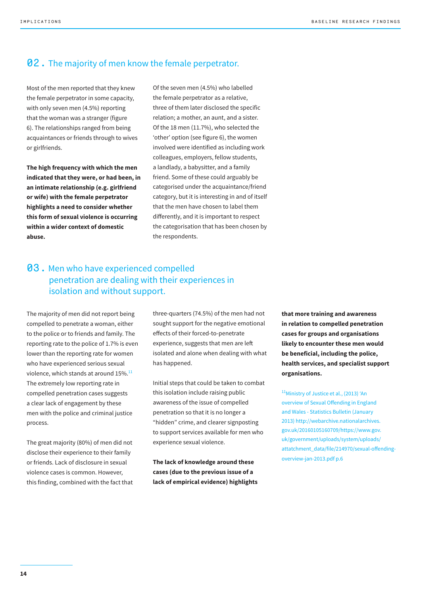### **02.** The majority of men know the female perpetrator.

Most of the men reported that they knew the female perpetrator in some capacity, with only seven men (4.5%) reporting that the woman was a stranger (figure 6). The relationships ranged from being acquaintances or friends through to wives or girlfriends.

**The high frequency with which the men indicated that they were, or had been, in an intimate relationship (e.g. girlfriend or wife) with the female perpetrator highlights a need to consider whether this form of sexual violence is occurring within a wider context of domestic abuse.** 

Of the seven men (4.5%) who labelled the female perpetrator as a relative, three of them later disclosed the specific relation; a mother, an aunt, and a sister. Of the 18 men (11.7%), who selected the 'other' option (see figure 6), the women involved were identified as including work colleagues, employers, fellow students, a landlady, a babysitter, and a family friend. Some of these could arguably be categorised under the acquaintance/friend category, but it is interesting in and of itself that the men have chosen to label them differently, and it is important to respect the categorisation that has been chosen by the respondents.

### **03.** Men who have experienced compelled penetration are dealing with their experiences in isolation and without support.

The majority of men did not report being compelled to penetrate a woman, either to the police or to friends and family. The reporting rate to the police of 1.7% is even lower than the reporting rate for women who have experienced serious sexual violence, which stands at around 15%.<sup>11</sup> The extremely low reporting rate in compelled penetration cases suggests a clear lack of engagement by these men with the police and criminal justice process.

The great majority (80%) of men did not disclose their experience to their family or friends. Lack of disclosure in sexual violence cases is common. However, this finding, combined with the fact that three-quarters (74.5%) of the men had not sought support for the negative emotional effects of their forced-to-penetrate experience, suggests that men are left isolated and alone when dealing with what has happened.

Initial steps that could be taken to combat this isolation include raising public awareness of the issue of compelled penetration so that it is no longer a "hidden" crime, and clearer signposting to support services available for men who experience sexual violence.

**The lack of knowledge around these cases (due to the previous issue of a lack of empirical evidence) highlights**  **that more training and awareness in relation to compelled penetration cases for groups and organisations likely to encounter these men would be beneficial, including the police, health services, and specialist support organisations.** 

11Ministry of Justice et al., (2013) 'An overview of Sexual Offending in England and Wales - Statistics Bulletin (January 2013) http://webarchive.nationalarchives. gov.uk/20160105160709/https://www.gov. uk/government/uploads/system/uploads/ attatchment\_data/file/214970/sexual-offendingoverview-jan-2013.pdf p.6